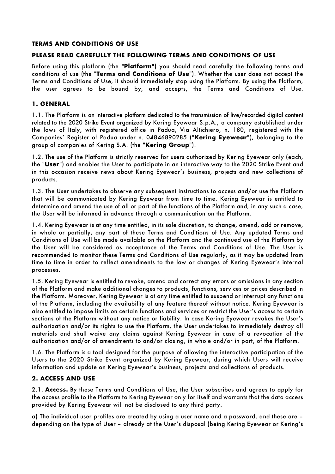#### **TERMS AND CONDITIONS OF USE**

#### **PLEASE READ CAREFULLY THE FOLLOWING TERMS AND CONDITIONS OF USE**

Before using this platform (the "**Platform**") you should read carefully the following terms and conditions of use (the "**Terms and Conditions of Use**"). Whether the user does not accept the Terms and Conditions of Use, it should immediately stop using the Platform. By using the Platform, the user agrees to be bound by, and accepts, the Terms and Conditions of Use.

#### **1. GENERAL**

1.1. The Platform is an interactive platform dedicated to the transmission of live/recorded digital content related to the 2020 Strike Event organized by Kering Eyewear S.p.A., a company established under the laws of Italy, with registered office in Padua, Via Altichiero, n. 180, registered with the Companies' Register of Padua under n. 04846890285 ("**Kering Eyewear**"), belonging to the group of companies of Kering S.A. (the "**Kering Group**").

1.2. The use of the Platform is strictly reserved for users authorized by Kering Eyewear only (each, the "**User**") and enables the User to participate in an interactive way to the 2020 Strike Event and in this occasion receive news about Kering Eyewear's business, projects and new collections of products.

1.3. The User undertakes to observe any subsequent instructions to access and/or use the Platform that will be communicated by Kering Eyewear from time to time. Kering Eyewear is entitled to determine and amend the use of all or part of the functions of the Platform and, in any such a case, the User will be informed in advance through a communication on the Platform.

1.4. Kering Eyewear is at any time entitled, in its sole discretion, to change, amend, add or remove, in whole or partially, any part of these Terms and Conditions of Use. Any updated Terms and Conditions of Use will be made available on the Platform and the continued use of the Platform by the User will be considered as acceptance of the Terms and Conditions of Use. The User is recommended to monitor these Terms and Conditions of Use regularly, as it may be updated from time to time in order to reflect amendments to the law or changes of Kering Eyewear's internal processes.

1.5. Kering Eyewear is entitled to revoke, amend and correct any errors or omissions in any section of the Platform and make additional changes to products, functions, services or prices described in the Platform. Moreover, Kering Eyewear is at any time entitled to suspend or interrupt any functions of the Platform, including the availability of any feature thereof without notice. Kering Eyewear is also entitled to impose limits on certain functions and services or restrict the User's access to certain sections of the Platform without any notice or liability. In case Kering Eyewear revokes the User's authorization and/or its rights to use the Platform, the User undertakes to immediately destroy all materials and shall waive any claims against Kering Eyewear in case of a revocation of the authorization and/or of amendments to and/or closing, in whole and/or in part, of the Platform.

1.6. The Platform is a tool designed for the purpose of allowing the interactive participation of the Users to the 2020 Strike Event organized by Kering Eyewear, during which Users will receive information and update on Kering Eyewear's business, projects and collections of products.

#### **2. ACCESS AND USE**

2.1. **Access.** By these Terms and Conditions of Use, the User subscribes and agrees to apply for the access profile to the Platform to Kering Eyewear only for itself and warrants that the data access provided by Kering Eyewear will not be disclosed to any third party.

a) The individual user profiles are created by using a user name and a password, and these are – depending on the type of User – already at the User's disposal (being Kering Eyewear or Kering's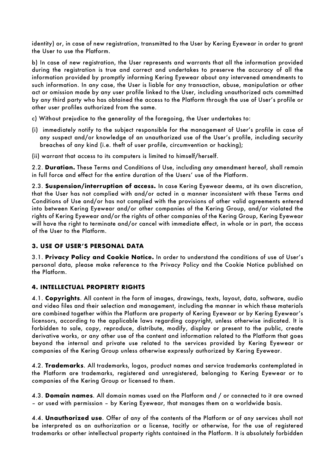identity) or, in case of new registration, transmitted to the User by Kering Eyewear in order to grant the User to use the Platform.

b) In case of new registration, the User represents and warrants that all the information provided during the registration is true and correct and undertakes to preserve the accuracy of all the information provided by promptly informing Kering Eyewear about any intervened amendments to such information. In any case, the User is liable for any transaction, abuse, manipulation or other act or omission made by any user profile linked to the User, including unauthorized acts committed by any third party who has obtained the access to the Platform through the use of User's profile or other user profiles authorized from the same.

c) Without prejudice to the generality of the foregoing, the User undertakes to:

- (i) immediately notify to the subject responsible for the management of User's profile in case of any suspect and/or knowledge of an unauthorized use of the User's profile, including security breaches of any kind (i.e. theft of user profile, circumvention or hacking);
- (ii) warrant that access to its computers is limited to himself/herself.

2.2. **Duration.** These Terms and Conditions of Use, including any amendment hereof, shall remain in full force and effect for the entire duration of the Users' use of the Platform.

2.3. **Suspension/interruption of access.** In case Kering Eyewear deems, at its own discretion, that the User has not complied with and/or acted in a manner inconsistent with these Terms and Conditions of Use and/or has not complied with the provisions of other valid agreements entered into between Kering Eyewear and/or other companies of the Kering Group, and/or violated the rights of Kering Eyewear and/or the rights of other companies of the Kering Group, Kering Eyewear will have the right to terminate and/or cancel with immediate effect, in whole or in part, the access of the User to the Platform.

## **3. USE OF USER'S PERSONAL DATA**

3.1. **Privacy Policy and Cookie Notice.** In order to understand the conditions of use of User's personal data, please make reference to the Privacy Policy and the Cookie Notice published on the Platform.

## **4. INTELLECTUAL PROPERTY RIGHTS**

4.1. **Copyrights**. All content in the form of images, drawings, texts, layout, data, software, audio and video files and their selection and management, including the manner in which these materials are combined together within the Platform are property of Kering Eyewear or by Kering Eyewear's licensors, according to the applicable laws regarding copyright, unless otherwise indicated. It is forbidden to sale, copy, reproduce, distribute, modify, display or present to the public, create derivative works, or any other use of the content and information related to the Platform that goes beyond the internal and private use related to the services provided by Kering Eyewear or companies of the Kering Group unless otherwise expressly authorized by Kering Eyewear.

4.2. **Trademarks**. All trademarks, logos, product names and service trademarks contemplated in the Platform are trademarks, registered and unregistered, belonging to Kering Eyewear or to companies of the Kering Group or licensed to them.

4.3. **Domain names**. All domain names used on the Platform and / or connected to it are owned – or used with permission – by Kering Eyewear, that manages them on a worldwide basis.

4.4. **Unauthorized use**. Offer of any of the contents of the Platform or of any services shall not be interpreted as an authorization or a license, tacitly or otherwise, for the use of registered trademarks or other intellectual property rights contained in the Platform. It is absolutely forbidden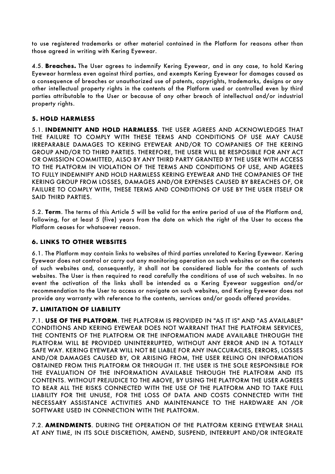to use registered trademarks or other material contained in the Platform for reasons other than those agreed in writing with Kering Eyewear.

4.5. **Breaches.** The User agrees to indemnify Kering Eyewear, and in any case, to hold Kering Eyewear harmless even against third parties, and exempts Kering Eyewear for damages caused as a consequence of breaches or unauthorized use of patents, copyrights, trademarks, designs or any other intellectual property rights in the contents of the Platform used or controlled even by third parties attributable to the User or because of any other breach of intellectual and/or industrial property rights.

## **5. HOLD HARMLESS**

5.1. **INDEMNITY AND HOLD HARMLESS**. THE USER AGREES AND ACKNOWLEDGES THAT THE FAILURE TO COMPLY WITH THESE TERMS AND CONDITIONS OF USE MAY CAUSE IRREPARABLE DAMAGES TO KERING EYEWEAR AND/OR TO COMPANIES OF THE KERING GROUP AND/OR TO THIRD PARTIES. THEREFORE, THE USER WILL BE RESPOSIBLE FOR ANY ACT OR OMISSION COMMITTED, ALSO BY ANY THIRD PARTY GRANTED BY THE USER WITH ACCESS TO THE PLATFORM IN VIOLATION OF THE TERMS AND CONDITIONS OF USE, AND AGREES TO FULLY INDEMNIFY AND HOLD HARMLESS KERING EYEWEAR AND THE COMPANIES OF THE KERING GROUP FROM LOSSES, DAMAGES AND/OR EXPENSES CAUSED BY BREACHES OF, OR FAILURE TO COMPLY WITH, THESE TERMS AND CONDITIONS OF USE BY THE USER ITSELF OR SAID THIRD PARTIES.

5.2. **Term**. The terms of this Article 5 will be valid for the entire period of use of the Platform and, following, for at least 5 (five) years from the date on which the right of the User to access the Platform ceases for whatsoever reason.

## **6. LINKS TO OTHER WEBSITES**

6.1. The Platform may contain links to websites of third parties unrelated to Kering Eyewear. Kering Eyewear does not control or carry out any monitoring operation on such websites or on the contents of such websites and, consequently, it shall not be considered liable for the contents of such websites. The User is then required to read carefully the conditions of use of such websites. In no event the activation of the links shall be intended as a Kering Eyewear suggestion and/or recommendation to the User to access or navigate on such websites, and Kering Eyewear does not provide any warranty with reference to the contents, services and/or goods offered provides.

## **7. LIMITATION OF LIABILITY**

7.1. **USE OF THE PLATFORM**. THE PLATFORM IS PROVIDED IN "AS IT IS" AND "AS AVAILABLE" CONDITIONS AND KERING EYEWEAR DOES NOT WARRANT THAT THE PLATFORM SERVICES, THE CONTENTS OF THE PLATFORM OR THE INFORMATION MADE AVAILABLE THROUGH THE PLATFORM WILL BE PROVIDED UNINTERRUPTED, WITHOUT ANY ERROR AND IN A TOTALLY SAFE WAY. KERING EYEWEAR WILL NOT BE LIABLE FOR ANY INACCURACIES, ERRORS, LOSSES AND/OR DAMAGES CAUSED BY, OR ARISING FROM, THE USER RELING ON INFORMATION OBTAINED FROM THIS PLATFORM OR THROUGH IT. THE USER IS THE SOLE RESPONSIBLE FOR THE EVALUATION OF THE INFORMATION AVAILABLE THROUGH THE PLATFORM AND ITS CONTENTS. WITHOUT PREJUDICE TO THE ABOVE, BY USING THE PLATFORM THE USER AGREES TO BEAR ALL THE RISKS CONNECTED WITH THE USE OF THE PLATFORM AND TO TAKE FULL LIABILITY FOR THE UNUSE, FOR THE LOSS OF DATA AND COSTS CONNECTED WITH THE NECESSARY ASSISTANCE ACTIVITIES AND MAINTENANCE TO THE HARDWARE AN /OR SOFTWARE USED IN CONNECTION WITH THE PLATFORM.

7.2. **AMENDMENTS**. DURING THE OPERATION OF THE PLATFORM KERING EYEWEAR SHALL AT ANY TIME, IN ITS SOLE DISCRETION, AMEND, SUSPEND, INTERRUPT AND/OR INTEGRATE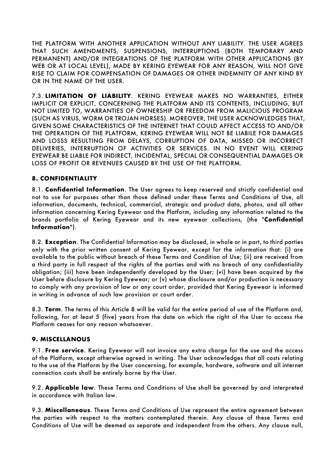THE PLATFORM WITH ANOTHER APPLICATION WITHOUT ANY LIABILITY. THE USER AGREES THAT SUCH AMENDMENTS, SUSPENSIONS, INTERRUPTIONS (BOTH TEMPORARY AND PERMANENT) AND/OR INTEGRATIONS OF THE PLATFORM WITH OTHER APPLICATIONS (BY WEB OR AT LOCAL LEVEL), MADE BY KERING EYEWEAR FOR ANY REASON, WILL NOT GIVE RISE TO CLAIM FOR COMPENSATION OF DAMAGES OR OTHER INDEMNITY OF ANY KIND BY OR IN THE NAME OF THE USER.

7.3. **LIMITATION OF LIABILITY**. KERING EYEWEAR MAKES NO WARRANTIES, EITHER IMPLICIT OR EXPLICIT, CONCERNING THE PLATFORM AND ITS CONTENTS, INCLUDING, BUT NOT LIMITED TO, WARRANTIES OF OWNERSHIP OR FREEDOM FROM MALICIOUS PROGRAM (SUCH AS VIRUS, WORM OR TROJAN HORSES). MOREOVER, THE USER ACKNOWLEDGES THAT, GIVEN SOME CHARACTERISTICS OF THE INTERNET THAT COULD AFFECT ACCESS TO AND/OR THE OPERATION OF THE PLATFORM, KERING EYEWEAR WILL NOT BE LIABILE FOR DAMAGES AND LOSSS RESULTING FROM DELAYS, CORRUPTION OF DATA, MISSED OR INCORRECT DELIVERIES, INTERRUPTION OF ACTIVITIES OR SERVICES. IN NO EVENT WILL KERING EYEWEAR BE LIABLE FOR INDIRECT, INCIDENTAL, SPECIAL OR CONSEQUENTIAL DAMAGES OR LOSS OF PROFIT OR REVENUES CAUSED BY THE USE OF THE PLATFORM.

# **8. CONFIDENTIALITY**

8.1. **Confidential Information**. The User agrees to keep reserved and strictly confidential and not to use for purposes other than those defined under these Terms and Conditions of Use, all information, documents, technical, commercial, strategic and product data, photos, and all other information concerning Kering Eyewear and the Platform, including any information related to the brands portfolio of Kering Eyewear and its new eyewear collections, (the "**Confidential Information**").

8.2. **Exception**. The Confidential Information may be disclosed, in whole or in part, to third parties only with the prior written consent of Kering Eyewear, except for the information that: (i) are available to the public without breach of these Terms and Condition of Use; (ii) are received from a third party in full respect of the rights of the parties and with no breach of any confidentiality obligation; (iii) have been independently developed by the User; (vi) have been acquired by the User before disclosure by Kering Eyewear; or (v) whose disclosure and/or production is necessary to comply with any provision of law or any court order, provided that Kering Eyewear is informed in writing in advance of such law provision or court order.

8.3. **Term**. The terms of this Article 8 will be valid for the entire period of use of the Platform and, following, for at least 5 (five) years from the date on which the right of the User to access the Platform ceases for any reason whatsoever.

## **9. MISCELLANOUS**

9.1. **Free service**. Kering Eyewear will not invoice any extra charge for the use and the access of the Platform, except otherwise agreed in writing. The User acknowledges that all costs relating to the use of the Platform by the User concerning, for example, hardware, software and all internet connection costs shall be entirely borne by the User.

9.2. **Applicable law**. These Terms and Conditions of Use shall be governed by and interpreted in accordance with Italian law.

9.3. **Miscellaneous**. These Terms and Conditions of Use represent the entire agreement between the parties with respect to the matters contemplated therein. Any clause of these Terms and Conditions of Use will be deemed as separate and independent from the others. Any clause null,